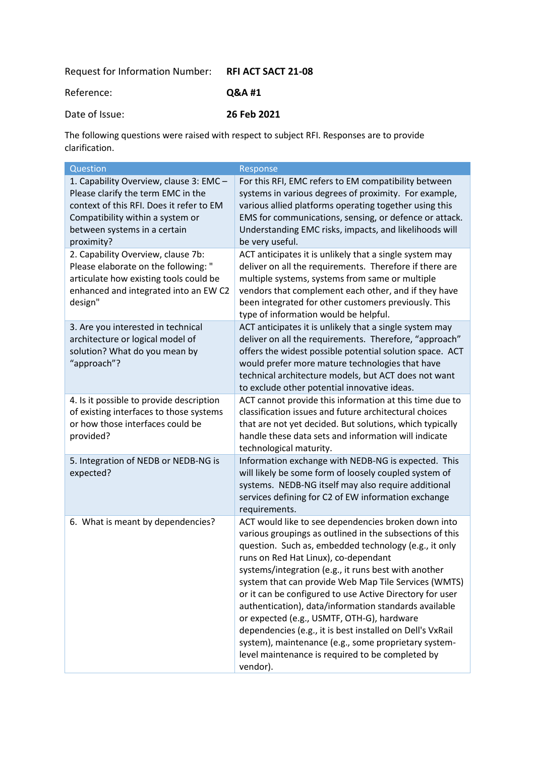Request for Information Number: **RFI ACT SACT 21-08**

Reference: **Q&A #1**

Date of Issue: **26 Feb 2021**

The following questions were raised with respect to subject RFI. Responses are to provide clarification.

| Question                                                                                                                                                                                                    | Response                                                                                                                                                                                                                                                                                                                                                                                                                                                                                                                                                                                                                                                                                 |
|-------------------------------------------------------------------------------------------------------------------------------------------------------------------------------------------------------------|------------------------------------------------------------------------------------------------------------------------------------------------------------------------------------------------------------------------------------------------------------------------------------------------------------------------------------------------------------------------------------------------------------------------------------------------------------------------------------------------------------------------------------------------------------------------------------------------------------------------------------------------------------------------------------------|
| 1. Capability Overview, clause 3: EMC -<br>Please clarify the term EMC in the<br>context of this RFI. Does it refer to EM<br>Compatibility within a system or<br>between systems in a certain<br>proximity? | For this RFI, EMC refers to EM compatibility between<br>systems in various degrees of proximity. For example,<br>various allied platforms operating together using this<br>EMS for communications, sensing, or defence or attack.<br>Understanding EMC risks, impacts, and likelihoods will<br>be very useful.                                                                                                                                                                                                                                                                                                                                                                           |
| 2. Capability Overview, clause 7b:<br>Please elaborate on the following: "<br>articulate how existing tools could be<br>enhanced and integrated into an EW C2<br>design"                                    | ACT anticipates it is unlikely that a single system may<br>deliver on all the requirements. Therefore if there are<br>multiple systems, systems from same or multiple<br>vendors that complement each other, and if they have<br>been integrated for other customers previously. This<br>type of information would be helpful.                                                                                                                                                                                                                                                                                                                                                           |
| 3. Are you interested in technical<br>architecture or logical model of<br>solution? What do you mean by<br>"approach"?                                                                                      | ACT anticipates it is unlikely that a single system may<br>deliver on all the requirements. Therefore, "approach"<br>offers the widest possible potential solution space. ACT<br>would prefer more mature technologies that have<br>technical architecture models, but ACT does not want<br>to exclude other potential innovative ideas.                                                                                                                                                                                                                                                                                                                                                 |
| 4. Is it possible to provide description<br>of existing interfaces to those systems<br>or how those interfaces could be<br>provided?                                                                        | ACT cannot provide this information at this time due to<br>classification issues and future architectural choices<br>that are not yet decided. But solutions, which typically<br>handle these data sets and information will indicate<br>technological maturity.                                                                                                                                                                                                                                                                                                                                                                                                                         |
| 5. Integration of NEDB or NEDB-NG is<br>expected?                                                                                                                                                           | Information exchange with NEDB-NG is expected. This<br>will likely be some form of loosely coupled system of<br>systems. NEDB-NG itself may also require additional<br>services defining for C2 of EW information exchange<br>requirements.                                                                                                                                                                                                                                                                                                                                                                                                                                              |
| 6. What is meant by dependencies?                                                                                                                                                                           | ACT would like to see dependencies broken down into<br>various groupings as outlined in the subsections of this<br>question. Such as, embedded technology (e.g., it only<br>runs on Red Hat Linux), co-dependant<br>systems/integration (e.g., it runs best with another<br>system that can provide Web Map Tile Services (WMTS)<br>or it can be configured to use Active Directory for user<br>authentication), data/information standards available<br>or expected (e.g., USMTF, OTH-G), hardware<br>dependencies (e.g., it is best installed on Dell's VxRail<br>system), maintenance (e.g., some proprietary system-<br>level maintenance is required to be completed by<br>vendor). |